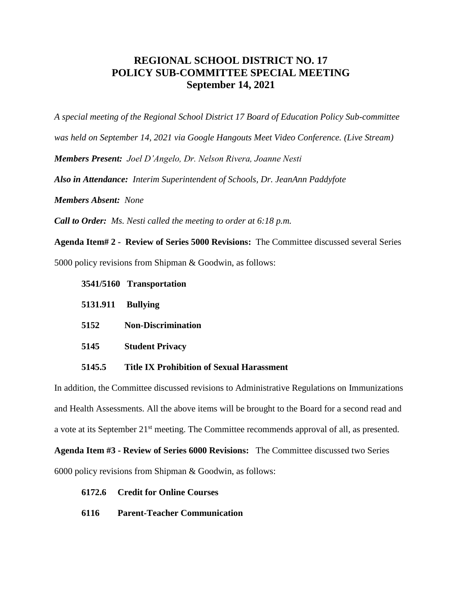## **REGIONAL SCHOOL DISTRICT NO. 17 POLICY SUB-COMMITTEE SPECIAL MEETING September 14, 2021**

*A special meeting of the Regional School District 17 Board of Education Policy Sub-committee* 

*was held on September 14, 2021 via Google Hangouts Meet Video Conference. (Live Stream)*

*Members Present: Joel D'Angelo, Dr. Nelson Rivera, Joanne Nesti*

*Also in Attendance: Interim Superintendent of Schools, Dr. JeanAnn Paddyfote*

*Members Absent: None*

*Call to Order: Ms. Nesti called the meeting to order at 6:18 p.m.*

**Agenda Item# 2 - Review of Series 5000 Revisions:** The Committee discussed several Series 5000 policy revisions from Shipman & Goodwin, as follows:

- **3541/5160 Transportation**
- **5131.911 Bullying**
- **5152 Non-Discrimination**
- **5145 Student Privacy**

## **5145.5 Title IX Prohibition of Sexual Harassment**

In addition, the Committee discussed revisions to Administrative Regulations on Immunizations and Health Assessments. All the above items will be brought to the Board for a second read and a vote at its September 21<sup>st</sup> meeting. The Committee recommends approval of all, as presented.

**Agenda Item #3 - Review of Series 6000 Revisions:** The Committee discussed two Series

6000 policy revisions from Shipman & Goodwin, as follows:

## **6172.6 Credit for Online Courses**

**6116 Parent-Teacher Communication**